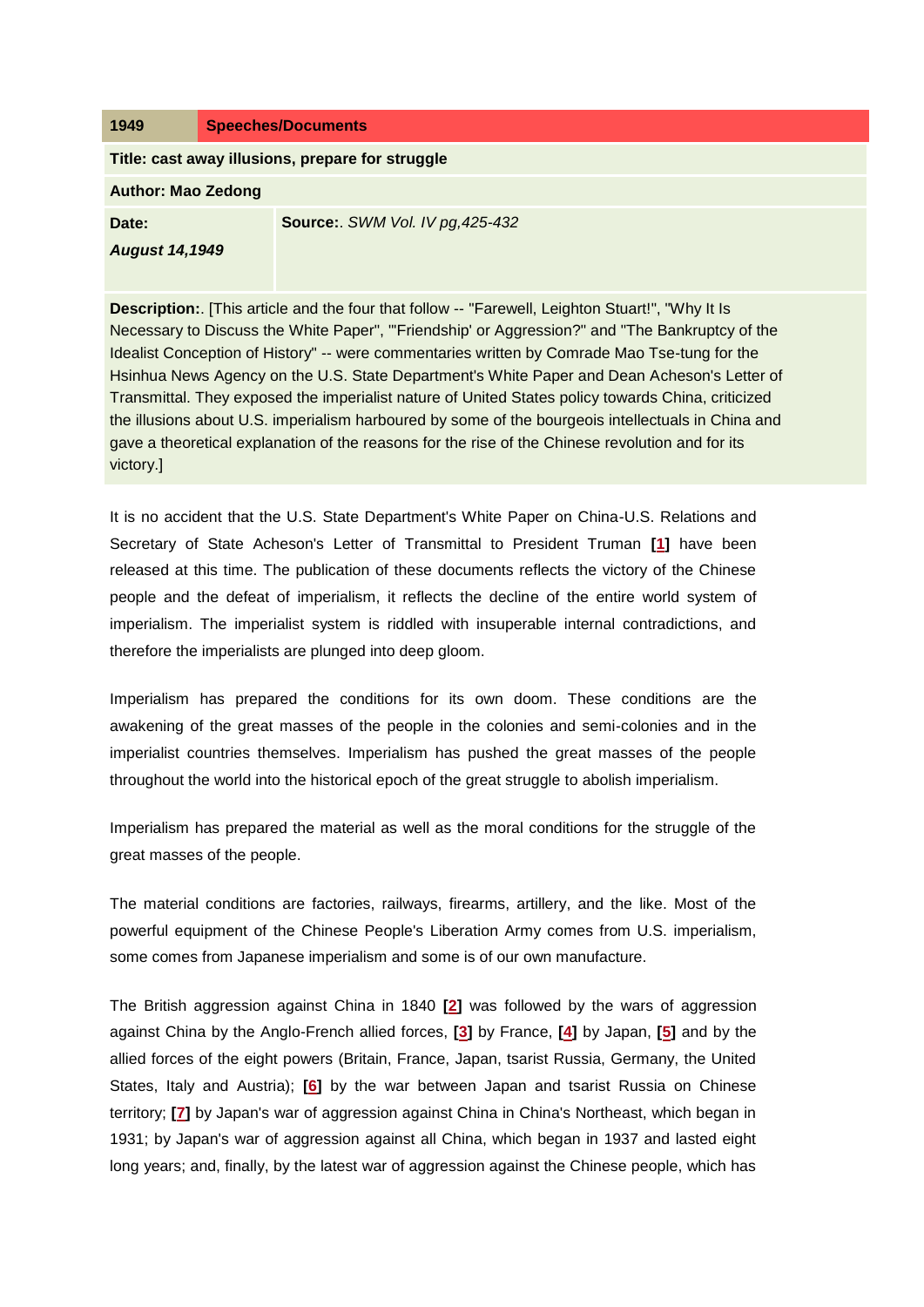| 1949                                             | <b>Speeches/Documents</b>              |
|--------------------------------------------------|----------------------------------------|
| Title: cast away illusions, prepare for struggle |                                        |
| <b>Author: Mao Zedong</b>                        |                                        |
| Date:                                            | <b>Source:</b> SWM Vol. IV pg, 425-432 |
| <b>August 14,1949</b>                            |                                        |

**Description:**. [This article and the four that follow -- "Farewell, Leighton Stuart!", "Why It Is Necessary to Discuss the White Paper", "'Friendship' or Aggression?" and "The Bankruptcy of the Idealist Conception of History" -- were commentaries written by Comrade Mao Tse-tung for the Hsinhua News Agency on the U.S. State Department's White Paper and Dean Acheson's Letter of Transmittal. They exposed the imperialist nature of United States policy towards China, criticized the illusions about U.S. imperialism harboured by some of the bourgeois intellectuals in China and gave a theoretical explanation of the reasons for the rise of the Chinese revolution and for its victory.]

It is no accident that the U.S. State Department's White Paper on China-U.S. Relations and Secretary of State Acheson's Letter of Transmittal to President Truman **[\[1\]](http://www.marxists.org/reference/archive/mao/selected-works/volume-4/mswv4_66.htm#bm1#bm1)** have been released at this time. The publication of these documents reflects the victory of the Chinese people and the defeat of imperialism, it reflects the decline of the entire world system of imperialism. The imperialist system is riddled with insuperable internal contradictions, and therefore the imperialists are plunged into deep gloom.

Imperialism has prepared the conditions for its own doom. These conditions are the awakening of the great masses of the people in the colonies and semi-colonies and in the imperialist countries themselves. Imperialism has pushed the great masses of the people throughout the world into the historical epoch of the great struggle to abolish imperialism.

Imperialism has prepared the material as well as the moral conditions for the struggle of the great masses of the people.

The material conditions are factories, railways, firearms, artillery, and the like. Most of the powerful equipment of the Chinese People's Liberation Army comes from U.S. imperialism, some comes from Japanese imperialism and some is of our own manufacture.

The British aggression against China in 1840 **[\[2\]](http://www.marxists.org/reference/archive/mao/selected-works/volume-4/mswv4_66.htm#bm2#bm2)** was followed by the wars of aggression against China by the Anglo-French allied forces, **[\[3\]](http://www.marxists.org/reference/archive/mao/selected-works/volume-4/mswv4_66.htm#bm3#bm3)** by France, **[\[4\]](http://www.marxists.org/reference/archive/mao/selected-works/volume-4/mswv4_66.htm#bm4#bm4)** by Japan, **[\[5\]](http://www.marxists.org/reference/archive/mao/selected-works/volume-4/mswv4_66.htm#bm5#bm5)** and by the allied forces of the eight powers (Britain, France, Japan, tsarist Russia, Germany, the United States, Italy and Austria); **[\[6\]](http://www.marxists.org/reference/archive/mao/selected-works/volume-4/mswv4_66.htm#bm6#bm6)** by the war between Japan and tsarist Russia on Chinese territory; **[\[7\]](http://www.marxists.org/reference/archive/mao/selected-works/volume-4/mswv4_66.htm#bm7#bm7)** by Japan's war of aggression against China in China's Northeast, which began in 1931; by Japan's war of aggression against all China, which began in 1937 and lasted eight long years; and, finally, by the latest war of aggression against the Chinese people, which has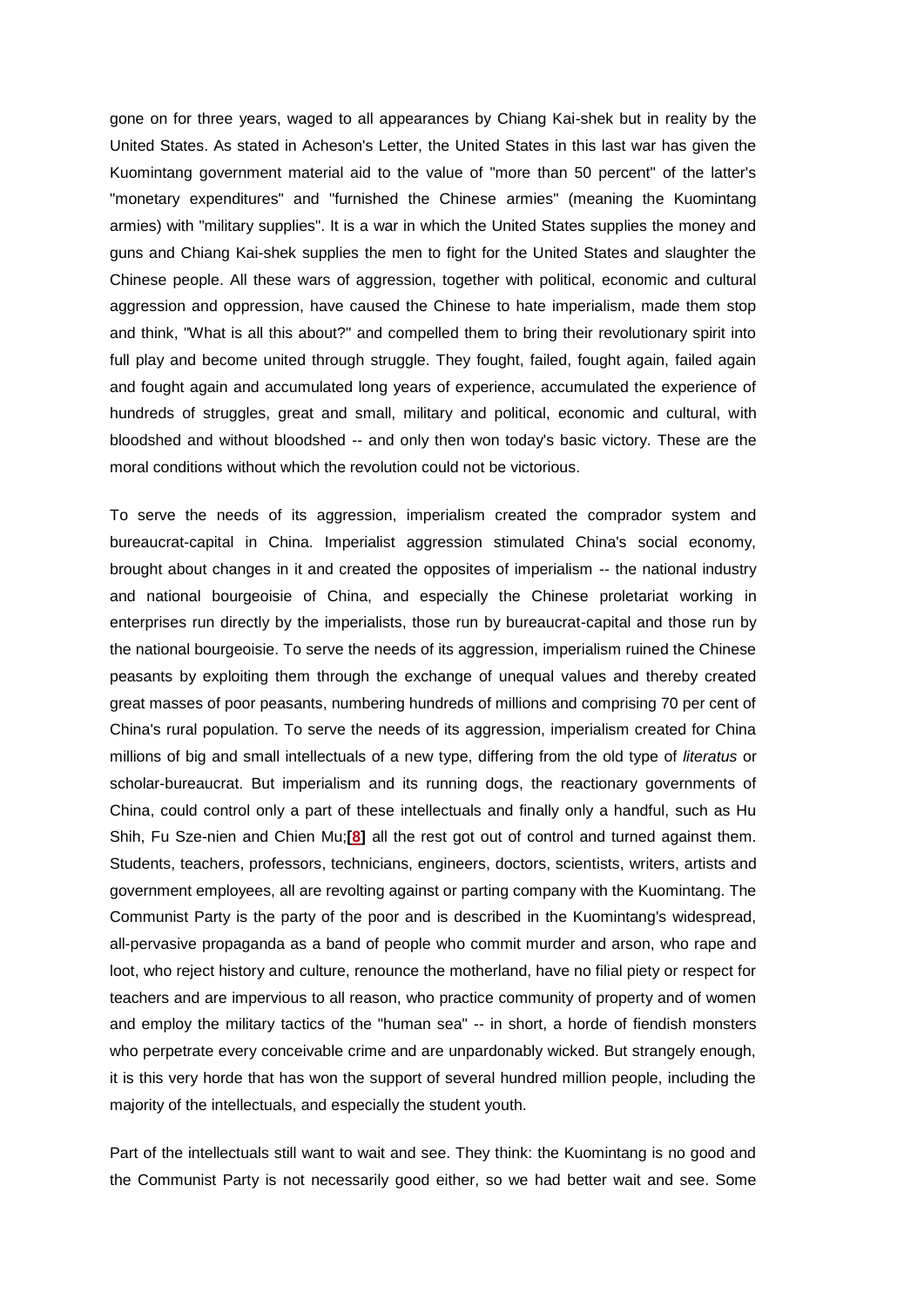gone on for three years, waged to all appearances by Chiang Kai-shek but in reality by the United States. As stated in Acheson's Letter, the United States in this last war has given the Kuomintang government material aid to the value of "more than 50 percent" of the latter's "monetary expenditures" and "furnished the Chinese armies" (meaning the Kuomintang armies) with "military supplies". It is a war in which the United States supplies the money and guns and Chiang Kai-shek supplies the men to fight for the United States and slaughter the Chinese people. All these wars of aggression, together with political, economic and cultural aggression and oppression, have caused the Chinese to hate imperialism, made them stop and think, "What is all this about?" and compelled them to bring their revolutionary spirit into full play and become united through struggle. They fought, failed, fought again, failed again and fought again and accumulated long years of experience, accumulated the experience of hundreds of struggles, great and small, military and political, economic and cultural, with bloodshed and without bloodshed -- and only then won today's basic victory. These are the moral conditions without which the revolution could not be victorious.

To serve the needs of its aggression, imperialism created the comprador system and bureaucrat-capital in China. Imperialist aggression stimulated China's social economy, brought about changes in it and created the opposites of imperialism -- the national industry and national bourgeoisie of China, and especially the Chinese proletariat working in enterprises run directly by the imperialists, those run by bureaucrat-capital and those run by the national bourgeoisie. To serve the needs of its aggression, imperialism ruined the Chinese peasants by exploiting them through the exchange of unequal values and thereby created great masses of poor peasants, numbering hundreds of millions and comprising 70 per cent of China's rural population. To serve the needs of its aggression, imperialism created for China millions of big and small intellectuals of a new type, differing from the old type of *literatus* or scholar-bureaucrat. But imperialism and its running dogs, the reactionary governments of China, could control only a part of these intellectuals and finally only a handful, such as Hu Shih, Fu Sze-nien and Chien Mu;**[\[8\]](http://www.marxists.org/reference/archive/mao/selected-works/volume-4/mswv4_66.htm#bm8#bm8)** all the rest got out of control and turned against them. Students, teachers, professors, technicians, engineers, doctors, scientists, writers, artists and government employees, all are revolting against or parting company with the Kuomintang. The Communist Party is the party of the poor and is described in the Kuomintang's widespread, all-pervasive propaganda as a band of people who commit murder and arson, who rape and loot, who reject history and culture, renounce the motherland, have no filial piety or respect for teachers and are impervious to all reason, who practice community of property and of women and employ the military tactics of the "human sea" -- in short, a horde of fiendish monsters who perpetrate every conceivable crime and are unpardonably wicked. But strangely enough, it is this very horde that has won the support of several hundred million people, including the majority of the intellectuals, and especially the student youth.

Part of the intellectuals still want to wait and see. They think: the Kuomintang is no good and the Communist Party is not necessarily good either, so we had better wait and see. Some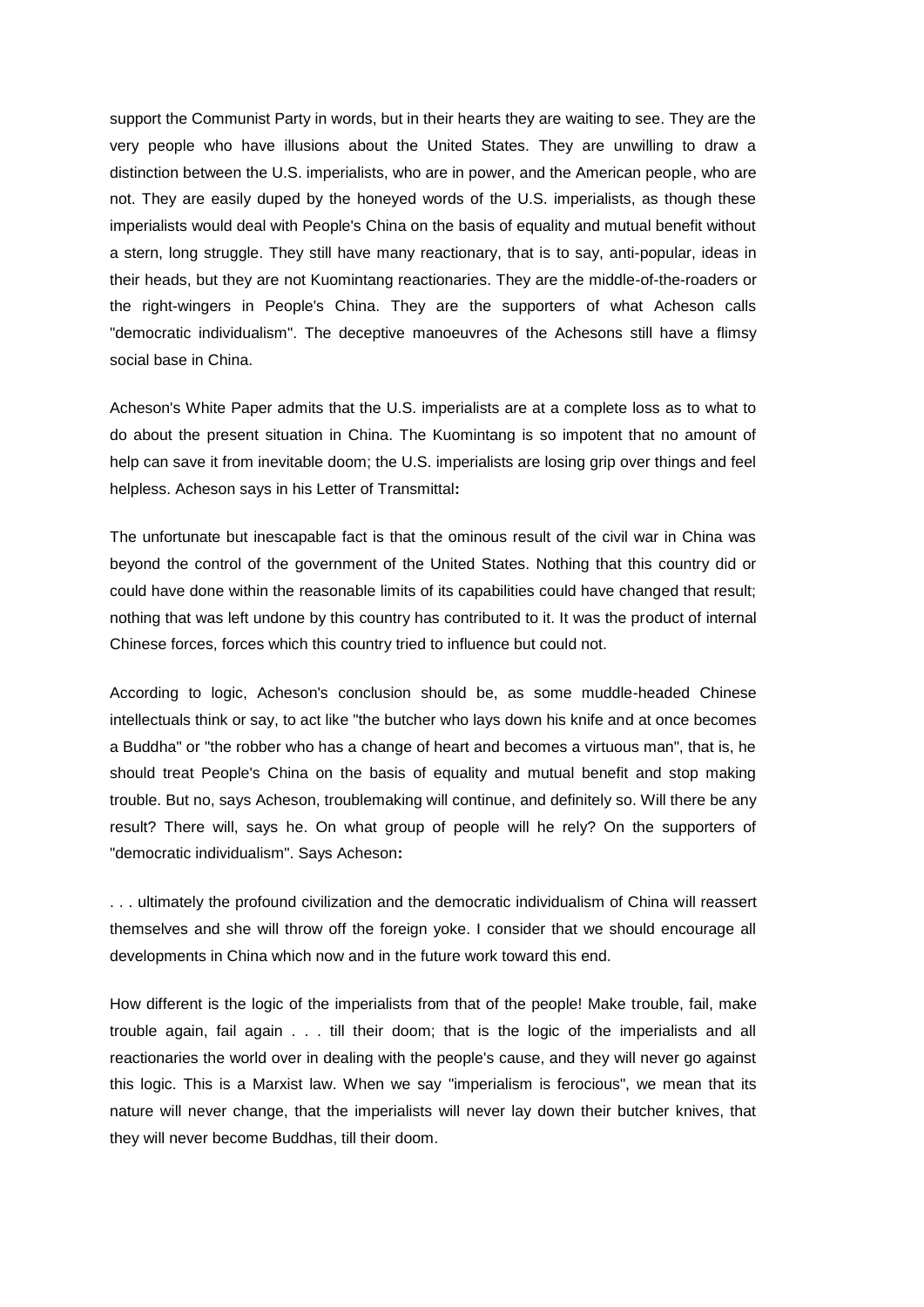support the Communist Party in words, but in their hearts they are waiting to see. They are the very people who have illusions about the United States. They are unwilling to draw a distinction between the U.S. imperialists, who are in power, and the American people, who are not. They are easily duped by the honeyed words of the U.S. imperialists, as though these imperialists would deal with People's China on the basis of equality and mutual benefit without a stern, long struggle. They still have many reactionary, that is to say, anti-popular, ideas in their heads, but they are not Kuomintang reactionaries. They are the middle-of-the-roaders or the right-wingers in People's China. They are the supporters of what Acheson calls "democratic individualism". The deceptive manoeuvres of the Achesons still have a flimsy social base in China.

Acheson's White Paper admits that the U.S. imperialists are at a complete loss as to what to do about the present situation in China. The Kuomintang is so impotent that no amount of help can save it from inevitable doom; the U.S. imperialists are losing grip over things and feel helpless. Acheson says in his Letter of Transmittal**:** 

The unfortunate but inescapable fact is that the ominous result of the civil war in China was beyond the control of the government of the United States. Nothing that this country did or could have done within the reasonable limits of its capabilities could have changed that result; nothing that was left undone by this country has contributed to it. It was the product of internal Chinese forces, forces which this country tried to influence but could not.

According to logic, Acheson's conclusion should be, as some muddle-headed Chinese intellectuals think or say, to act like "the butcher who lays down his knife and at once becomes a Buddha" or "the robber who has a change of heart and becomes a virtuous man", that is, he should treat People's China on the basis of equality and mutual benefit and stop making trouble. But no, says Acheson, troublemaking will continue, and definitely so. Will there be any result? There will, says he. On what group of people will he rely? On the supporters of "democratic individualism". Says Acheson**:** 

. . . ultimately the profound civilization and the democratic individualism of China will reassert themselves and she will throw off the foreign yoke. I consider that we should encourage all developments in China which now and in the future work toward this end.

How different is the logic of the imperialists from that of the people! Make trouble, fail, make trouble again, fail again . . . till their doom; that is the logic of the imperialists and all reactionaries the world over in dealing with the people's cause, and they will never go against this logic. This is a Marxist law. When we say "imperialism is ferocious", we mean that its nature will never change, that the imperialists will never lay down their butcher knives, that they will never become Buddhas, till their doom.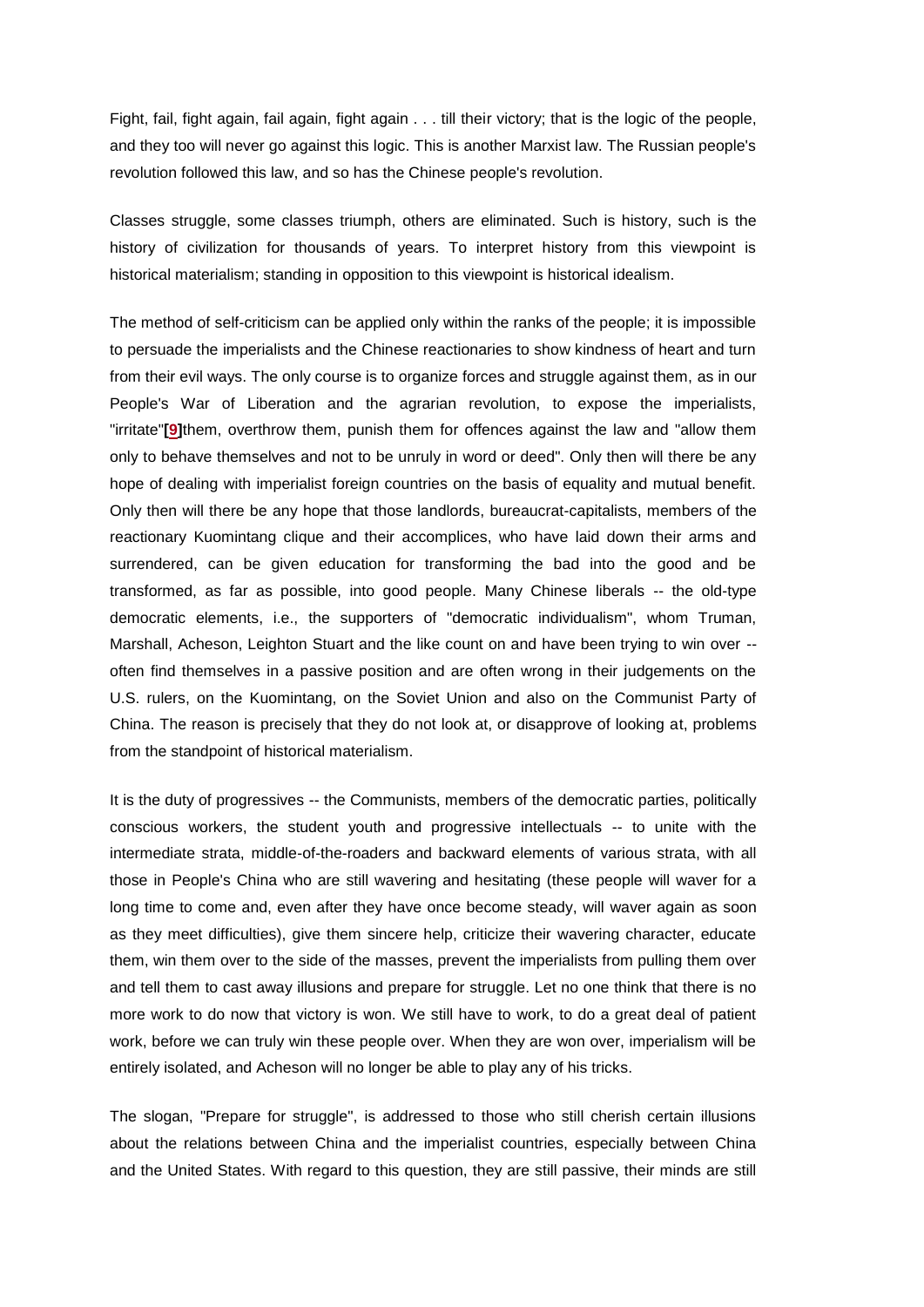Fight, fail, fight again, fail again, fight again . . . till their victory; that is the logic of the people, and they too will never go against this logic. This is another Marxist law. The Russian people's revolution followed this law, and so has the Chinese people's revolution.

Classes struggle, some classes triumph, others are eliminated. Such is history, such is the history of civilization for thousands of years. To interpret history from this viewpoint is historical materialism; standing in opposition to this viewpoint is historical idealism.

The method of self-criticism can be applied only within the ranks of the people; it is impossible to persuade the imperialists and the Chinese reactionaries to show kindness of heart and turn from their evil ways. The only course is to organize forces and struggle against them, as in our People's War of Liberation and the agrarian revolution, to expose the imperialists, "irritate"**[\[9\]](http://www.marxists.org/reference/archive/mao/selected-works/volume-4/mswv4_66.htm#bm9#bm9)**them, overthrow them, punish them for offences against the law and "allow them only to behave themselves and not to be unruly in word or deed". Only then will there be any hope of dealing with imperialist foreign countries on the basis of equality and mutual benefit. Only then will there be any hope that those landlords, bureaucrat-capitalists, members of the reactionary Kuomintang clique and their accomplices, who have laid down their arms and surrendered, can be given education for transforming the bad into the good and be transformed, as far as possible, into good people. Many Chinese liberals -- the old-type democratic elements, i.e., the supporters of "democratic individualism", whom Truman, Marshall, Acheson, Leighton Stuart and the like count on and have been trying to win over - often find themselves in a passive position and are often wrong in their judgements on the U.S. rulers, on the Kuomintang, on the Soviet Union and also on the Communist Party of China. The reason is precisely that they do not look at, or disapprove of looking at, problems from the standpoint of historical materialism.

It is the duty of progressives -- the Communists, members of the democratic parties, politically conscious workers, the student youth and progressive intellectuals -- to unite with the intermediate strata, middle-of-the-roaders and backward elements of various strata, with all those in People's China who are still wavering and hesitating (these people will waver for a long time to come and, even after they have once become steady, will waver again as soon as they meet difficulties), give them sincere help, criticize their wavering character, educate them, win them over to the side of the masses, prevent the imperialists from pulling them over and tell them to cast away illusions and prepare for struggle. Let no one think that there is no more work to do now that victory is won. We still have to work, to do a great deal of patient work, before we can truly win these people over. When they are won over, imperialism will be entirely isolated, and Acheson will no longer be able to play any of his tricks.

The slogan, "Prepare for struggle", is addressed to those who still cherish certain illusions about the relations between China and the imperialist countries, especially between China and the United States. With regard to this question, they are still passive, their minds are still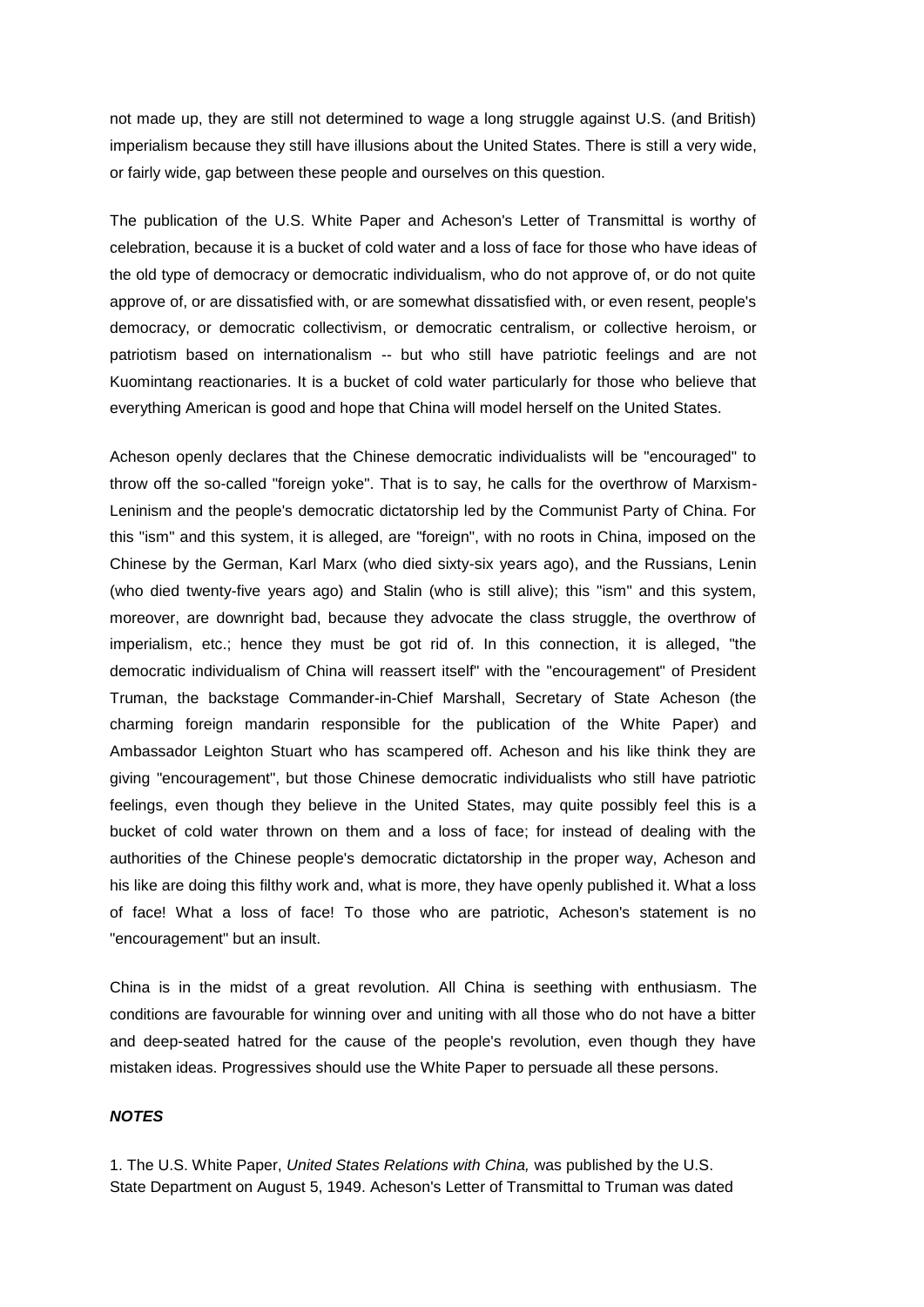not made up, they are still not determined to wage a long struggle against U.S. (and British) imperialism because they still have illusions about the United States. There is still a very wide, or fairly wide, gap between these people and ourselves on this question.

The publication of the U.S. White Paper and Acheson's Letter of Transmittal is worthy of celebration, because it is a bucket of cold water and a loss of face for those who have ideas of the old type of democracy or democratic individualism, who do not approve of, or do not quite approve of, or are dissatisfied with, or are somewhat dissatisfied with, or even resent, people's democracy, or democratic collectivism, or democratic centralism, or collective heroism, or patriotism based on internationalism -- but who still have patriotic feelings and are not Kuomintang reactionaries. It is a bucket of cold water particularly for those who believe that everything American is good and hope that China will model herself on the United States.

Acheson openly declares that the Chinese democratic individualists will be "encouraged" to throw off the so-called "foreign yoke". That is to say, he calls for the overthrow of Marxism-Leninism and the people's democratic dictatorship led by the Communist Party of China. For this "ism" and this system, it is alleged, are "foreign", with no roots in China, imposed on the Chinese by the German, Karl Marx (who died sixty-six years ago), and the Russians, Lenin (who died twenty-five years ago) and Stalin (who is still alive); this "ism" and this system, moreover, are downright bad, because they advocate the class struggle, the overthrow of imperialism, etc.; hence they must be got rid of. In this connection, it is alleged, "the democratic individualism of China will reassert itself" with the "encouragement" of President Truman, the backstage Commander-in-Chief Marshall, Secretary of State Acheson (the charming foreign mandarin responsible for the publication of the White Paper) and Ambassador Leighton Stuart who has scampered off. Acheson and his like think they are giving "encouragement", but those Chinese democratic individualists who still have patriotic feelings, even though they believe in the United States, may quite possibly feel this is a bucket of cold water thrown on them and a loss of face; for instead of dealing with the authorities of the Chinese people's democratic dictatorship in the proper way, Acheson and his like are doing this filthy work and, what is more, they have openly published it. What a loss of face! What a loss of face! To those who are patriotic, Acheson's statement is no "encouragement" but an insult.

China is in the midst of a great revolution. All China is seething with enthusiasm. The conditions are favourable for winning over and uniting with all those who do not have a bitter and deep-seated hatred for the cause of the people's revolution, even though they have mistaken ideas. Progressives should use the White Paper to persuade all these persons.

## *NOTES*

1. The U.S. White Paper, *United States Relations with China,* was published by the U.S. State Department on August 5, 1949. Acheson's Letter of Transmittal to Truman was dated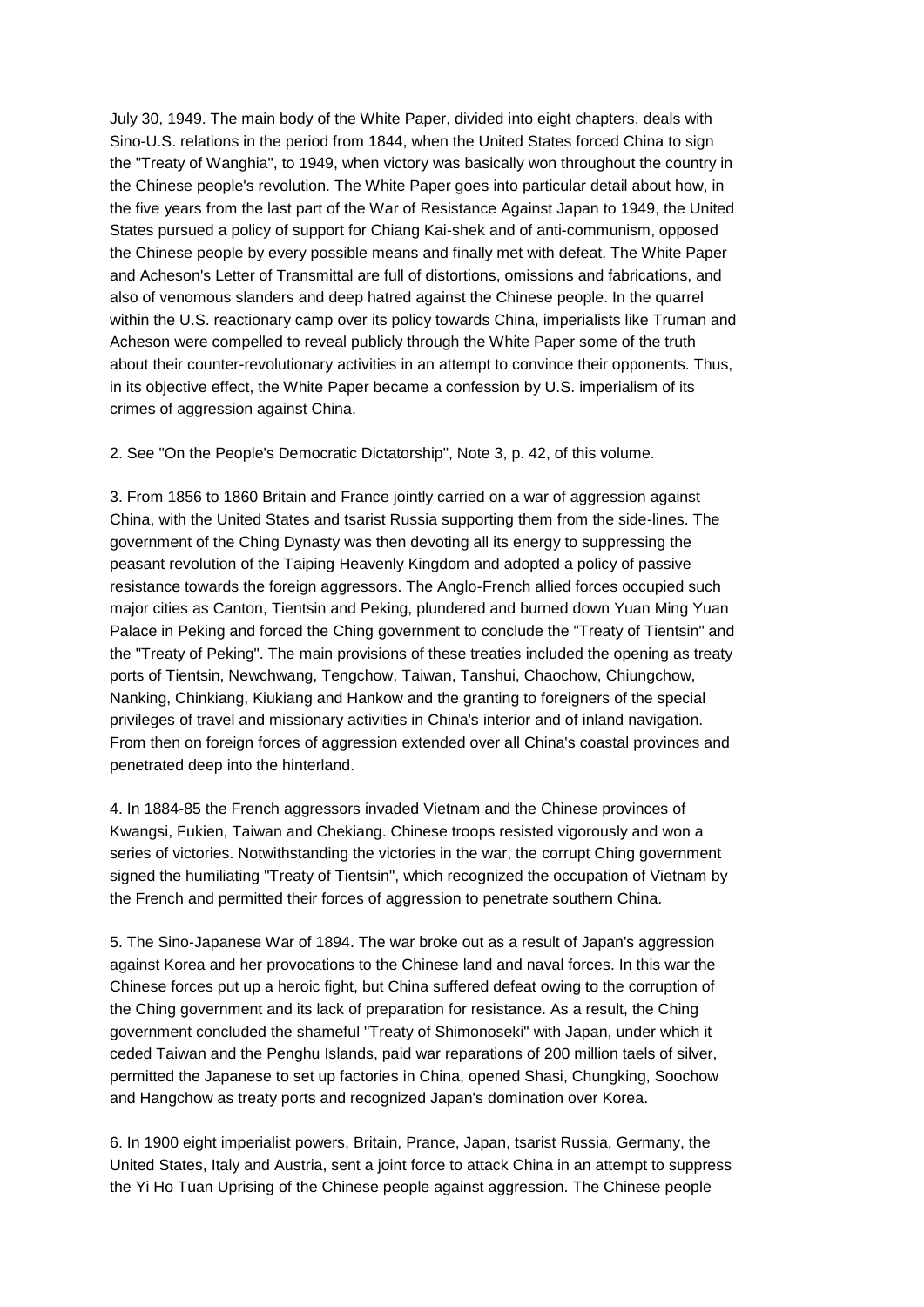July 30, 1949. The main body of the White Paper, divided into eight chapters, deals with Sino-U.S. relations in the period from 1844, when the United States forced China to sign the "Treaty of Wanghia", to 1949, when victory was basically won throughout the country in the Chinese people's revolution. The White Paper goes into particular detail about how, in the five years from the last part of the War of Resistance Against Japan to 1949, the United States pursued a policy of support for Chiang Kai-shek and of anti-communism, opposed the Chinese people by every possible means and finally met with defeat. The White Paper and Acheson's Letter of Transmittal are full of distortions, omissions and fabrications, and also of venomous slanders and deep hatred against the Chinese people. In the quarrel within the U.S. reactionary camp over its policy towards China, imperialists like Truman and Acheson were compelled to reveal publicly through the White Paper some of the truth about their counter-revolutionary activities in an attempt to convince their opponents. Thus, in its objective effect, the White Paper became a confession by U.S. imperialism of its crimes of aggression against China.

2. See "On the People's Democratic Dictatorship", Note 3, p. 42, of this volume.

3. From 1856 to 1860 Britain and France jointly carried on a war of aggression against China, with the United States and tsarist Russia supporting them from the side-lines. The government of the Ching Dynasty was then devoting all its energy to suppressing the peasant revolution of the Taiping Heavenly Kingdom and adopted a policy of passive resistance towards the foreign aggressors. The Anglo-French allied forces occupied such major cities as Canton, Tientsin and Peking, plundered and burned down Yuan Ming Yuan Palace in Peking and forced the Ching government to conclude the "Treaty of Tientsin" and the "Treaty of Peking". The main provisions of these treaties included the opening as treaty ports of Tientsin, Newchwang, Tengchow, Taiwan, Tanshui, Chaochow, Chiungchow, Nanking, Chinkiang, Kiukiang and Hankow and the granting to foreigners of the special privileges of travel and missionary activities in China's interior and of inland navigation. From then on foreign forces of aggression extended over all China's coastal provinces and penetrated deep into the hinterland.

4. In 1884-85 the French aggressors invaded Vietnam and the Chinese provinces of Kwangsi, Fukien, Taiwan and Chekiang. Chinese troops resisted vigorously and won a series of victories. Notwithstanding the victories in the war, the corrupt Ching government signed the humiliating "Treaty of Tientsin", which recognized the occupation of Vietnam by the French and permitted their forces of aggression to penetrate southern China.

5. The Sino-Japanese War of 1894. The war broke out as a result of Japan's aggression against Korea and her provocations to the Chinese land and naval forces. In this war the Chinese forces put up a heroic fight, but China suffered defeat owing to the corruption of the Ching government and its lack of preparation for resistance. As a result, the Ching government concluded the shameful "Treaty of Shimonoseki" with Japan, under which it ceded Taiwan and the Penghu Islands, paid war reparations of 200 million taels of silver, permitted the Japanese to set up factories in China, opened Shasi, Chungking, Soochow and Hangchow as treaty ports and recognized Japan's domination over Korea.

6. In 1900 eight imperialist powers, Britain, Prance, Japan, tsarist Russia, Germany, the United States, Italy and Austria, sent a joint force to attack China in an attempt to suppress the Yi Ho Tuan Uprising of the Chinese people against aggression. The Chinese people